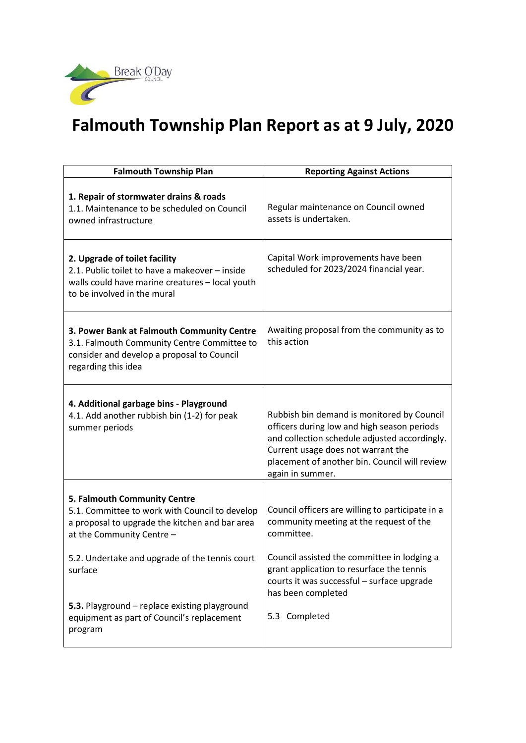

## **Falmouth Township Plan Report as at 9 July, 2020**

| <b>Falmouth Township Plan</b>                                                                                                                                     | <b>Reporting Against Actions</b>                                                                                                                                                                                                                      |
|-------------------------------------------------------------------------------------------------------------------------------------------------------------------|-------------------------------------------------------------------------------------------------------------------------------------------------------------------------------------------------------------------------------------------------------|
| 1. Repair of stormwater drains & roads<br>1.1. Maintenance to be scheduled on Council<br>owned infrastructure                                                     | Regular maintenance on Council owned<br>assets is undertaken.                                                                                                                                                                                         |
| 2. Upgrade of toilet facility<br>2.1. Public toilet to have a makeover - inside<br>walls could have marine creatures - local youth<br>to be involved in the mural | Capital Work improvements have been<br>scheduled for 2023/2024 financial year.                                                                                                                                                                        |
| 3. Power Bank at Falmouth Community Centre<br>3.1. Falmouth Community Centre Committee to<br>consider and develop a proposal to Council<br>regarding this idea    | Awaiting proposal from the community as to<br>this action                                                                                                                                                                                             |
| 4. Additional garbage bins - Playground<br>4.1. Add another rubbish bin (1-2) for peak<br>summer periods                                                          | Rubbish bin demand is monitored by Council<br>officers during low and high season periods<br>and collection schedule adjusted accordingly.<br>Current usage does not warrant the<br>placement of another bin. Council will review<br>again in summer. |
| 5. Falmouth Community Centre<br>5.1. Committee to work with Council to develop<br>a proposal to upgrade the kitchen and bar area<br>at the Community Centre -     | Council officers are willing to participate in a<br>community meeting at the request of the<br>committee.                                                                                                                                             |
| 5.2. Undertake and upgrade of the tennis court<br>surface                                                                                                         | Council assisted the committee in lodging a<br>grant application to resurface the tennis<br>courts it was successful - surface upgrade<br>has been completed                                                                                          |
| 5.3. Playground - replace existing playground<br>equipment as part of Council's replacement<br>program                                                            | 5.3 Completed                                                                                                                                                                                                                                         |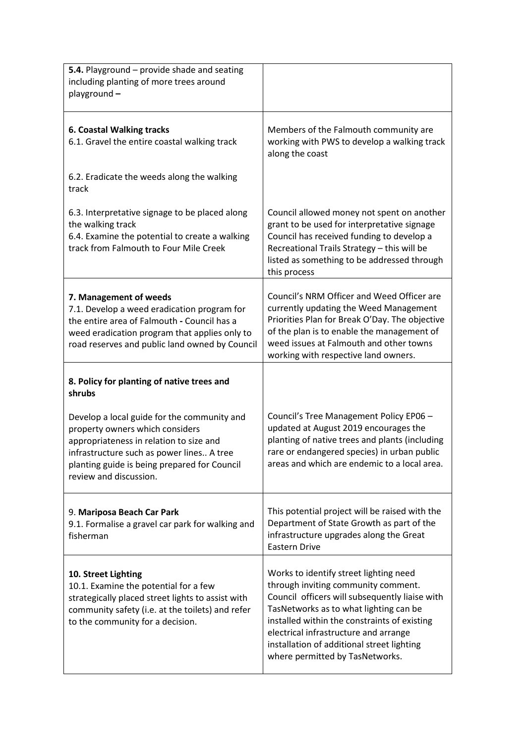| 5.4. Playground - provide shade and seating<br>including planting of more trees around<br>playground-                                                                                                                   |                                                                                                                                                                                                                                                                         |
|-------------------------------------------------------------------------------------------------------------------------------------------------------------------------------------------------------------------------|-------------------------------------------------------------------------------------------------------------------------------------------------------------------------------------------------------------------------------------------------------------------------|
| <b>6. Coastal Walking tracks</b><br>6.1. Gravel the entire coastal walking track                                                                                                                                        | Members of the Falmouth community are<br>working with PWS to develop a walking track<br>along the coast                                                                                                                                                                 |
| 6.2. Eradicate the weeds along the walking<br>track                                                                                                                                                                     |                                                                                                                                                                                                                                                                         |
| 6.3. Interpretative signage to be placed along<br>the walking track<br>6.4. Examine the potential to create a walking<br>track from Falmouth to Four Mile Creek                                                         | Council allowed money not spent on another<br>grant to be used for interpretative signage<br>Council has received funding to develop a<br>Recreational Trails Strategy - this will be<br>listed as something to be addressed through<br>this process                    |
| 7. Management of weeds<br>7.1. Develop a weed eradication program for<br>the entire area of Falmouth - Council has a<br>weed eradication program that applies only to<br>road reserves and public land owned by Council | Council's NRM Officer and Weed Officer are<br>currently updating the Weed Management<br>Priorities Plan for Break O'Day. The objective<br>of the plan is to enable the management of<br>weed issues at Falmouth and other towns<br>working with respective land owners. |
| 8. Policy for planting of native trees and<br>shrubs                                                                                                                                                                    |                                                                                                                                                                                                                                                                         |
| Develop a local guide for the community and<br>property owners which considers<br>appropriateness in relation to size and<br>infrastructure such as power lines A tree                                                  | Council's Tree Management Policy EP06 -<br>updated at August 2019 encourages the<br>planting of native trees and plants (including<br>rare or endangered species) in urban public                                                                                       |
| planting guide is being prepared for Council<br>review and discussion.                                                                                                                                                  | areas and which are endemic to a local area.                                                                                                                                                                                                                            |
| 9. Mariposa Beach Car Park<br>9.1. Formalise a gravel car park for walking and<br>fisherman                                                                                                                             | This potential project will be raised with the<br>Department of State Growth as part of the<br>infrastructure upgrades along the Great<br><b>Eastern Drive</b>                                                                                                          |